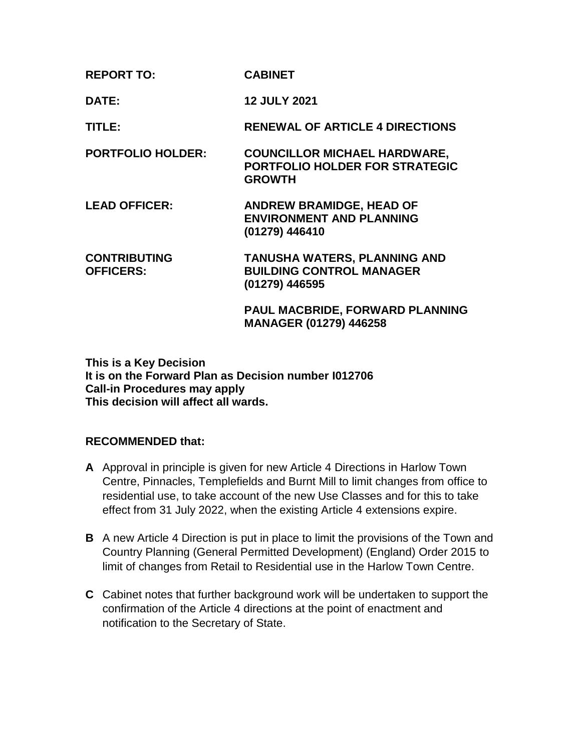| <b>REPORT TO:</b>                       | <b>CABINET</b>                                                                                |
|-----------------------------------------|-----------------------------------------------------------------------------------------------|
| DATE:                                   | <b>12 JULY 2021</b>                                                                           |
| TITLE:                                  | <b>RENEWAL OF ARTICLE 4 DIRECTIONS</b>                                                        |
| <b>PORTFOLIO HOLDER:</b>                | <b>COUNCILLOR MICHAEL HARDWARE,</b><br><b>PORTFOLIO HOLDER FOR STRATEGIC</b><br><b>GROWTH</b> |
| <b>LEAD OFFICER:</b>                    | <b>ANDREW BRAMIDGE, HEAD OF</b><br><b>ENVIRONMENT AND PLANNING</b><br>(01279) 446410          |
| <b>CONTRIBUTING</b><br><b>OFFICERS:</b> | <b>TANUSHA WATERS, PLANNING AND</b><br><b>BUILDING CONTROL MANAGER</b><br>(01279) 446595      |
|                                         | PAUL MACBRIDE, FORWARD PLANNING<br>MANAGER (01279) 446258                                     |

**This is a Key Decision It is on the Forward Plan as Decision number I012706 Call-in Procedures may apply This decision will affect all wards.**

## **RECOMMENDED that:**

- **A** Approval in principle is given for new Article 4 Directions in Harlow Town Centre, Pinnacles, Templefields and Burnt Mill to limit changes from office to residential use, to take account of the new Use Classes and for this to take effect from 31 July 2022, when the existing Article 4 extensions expire.
- **B** A new Article 4 Direction is put in place to limit the provisions of the Town and Country Planning (General Permitted Development) (England) Order 2015 to limit of changes from Retail to Residential use in the Harlow Town Centre.
- **C** Cabinet notes that further background work will be undertaken to support the confirmation of the Article 4 directions at the point of enactment and notification to the Secretary of State.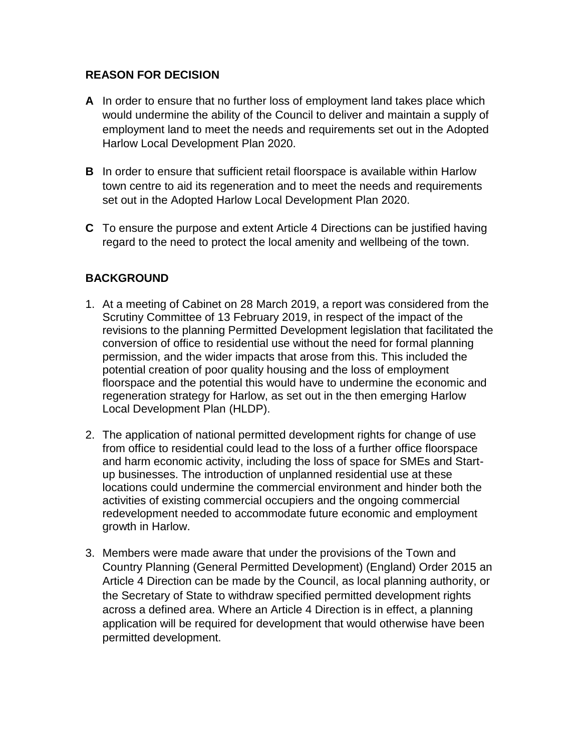## **REASON FOR DECISION**

- **A** In order to ensure that no further loss of employment land takes place which would undermine the ability of the Council to deliver and maintain a supply of employment land to meet the needs and requirements set out in the Adopted Harlow Local Development Plan 2020.
- **B** In order to ensure that sufficient retail floorspace is available within Harlow town centre to aid its regeneration and to meet the needs and requirements set out in the Adopted Harlow Local Development Plan 2020.
- **C** To ensure the purpose and extent Article 4 Directions can be justified having regard to the need to protect the local amenity and wellbeing of the town.

## **BACKGROUND**

- 1. At a meeting of Cabinet on 28 March 2019, a report was considered from the Scrutiny Committee of 13 February 2019, in respect of the impact of the revisions to the planning Permitted Development legislation that facilitated the conversion of office to residential use without the need for formal planning permission, and the wider impacts that arose from this. This included the potential creation of poor quality housing and the loss of employment floorspace and the potential this would have to undermine the economic and regeneration strategy for Harlow, as set out in the then emerging Harlow Local Development Plan (HLDP).
- 2. The application of national permitted development rights for change of use from office to residential could lead to the loss of a further office floorspace and harm economic activity, including the loss of space for SMEs and Startup businesses. The introduction of unplanned residential use at these locations could undermine the commercial environment and hinder both the activities of existing commercial occupiers and the ongoing commercial redevelopment needed to accommodate future economic and employment growth in Harlow.
- 3. Members were made aware that under the provisions of the Town and Country Planning (General Permitted Development) (England) Order 2015 an Article 4 Direction can be made by the Council, as local planning authority, or the Secretary of State to withdraw specified permitted development rights across a defined area. Where an Article 4 Direction is in effect, a planning application will be required for development that would otherwise have been permitted development.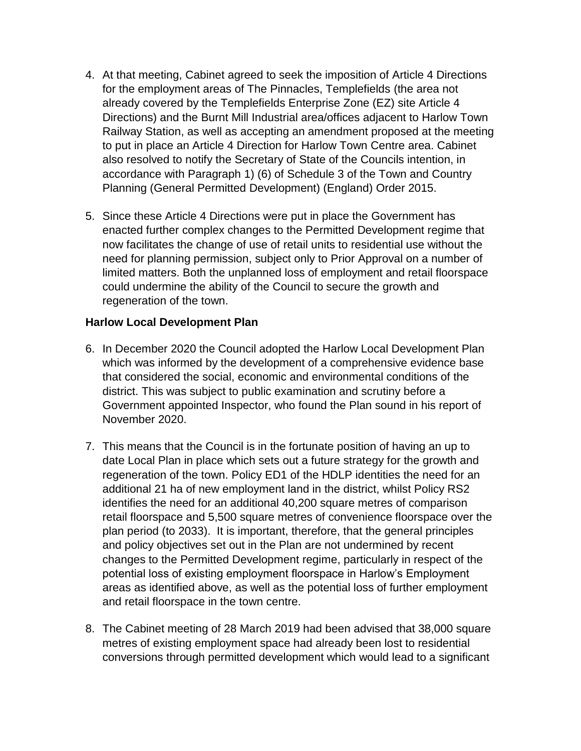- 4. At that meeting, Cabinet agreed to seek the imposition of Article 4 Directions for the employment areas of The Pinnacles, Templefields (the area not already covered by the Templefields Enterprise Zone (EZ) site Article 4 Directions) and the Burnt Mill Industrial area/offices adjacent to Harlow Town Railway Station, as well as accepting an amendment proposed at the meeting to put in place an Article 4 Direction for Harlow Town Centre area. Cabinet also resolved to notify the Secretary of State of the Councils intention, in accordance with Paragraph 1) (6) of Schedule 3 of the Town and Country Planning (General Permitted Development) (England) Order 2015.
- 5. Since these Article 4 Directions were put in place the Government has enacted further complex changes to the Permitted Development regime that now facilitates the change of use of retail units to residential use without the need for planning permission, subject only to Prior Approval on a number of limited matters. Both the unplanned loss of employment and retail floorspace could undermine the ability of the Council to secure the growth and regeneration of the town.

### **Harlow Local Development Plan**

- 6. In December 2020 the Council adopted the Harlow Local Development Plan which was informed by the development of a comprehensive evidence base that considered the social, economic and environmental conditions of the district. This was subject to public examination and scrutiny before a Government appointed Inspector, who found the Plan sound in his report of November 2020.
- 7. This means that the Council is in the fortunate position of having an up to date Local Plan in place which sets out a future strategy for the growth and regeneration of the town. Policy ED1 of the HDLP identities the need for an additional 21 ha of new employment land in the district, whilst Policy RS2 identifies the need for an additional 40,200 square metres of comparison retail floorspace and 5,500 square metres of convenience floorspace over the plan period (to 2033). It is important, therefore, that the general principles and policy objectives set out in the Plan are not undermined by recent changes to the Permitted Development regime, particularly in respect of the potential loss of existing employment floorspace in Harlow's Employment areas as identified above, as well as the potential loss of further employment and retail floorspace in the town centre.
- 8. The Cabinet meeting of 28 March 2019 had been advised that 38,000 square metres of existing employment space had already been lost to residential conversions through permitted development which would lead to a significant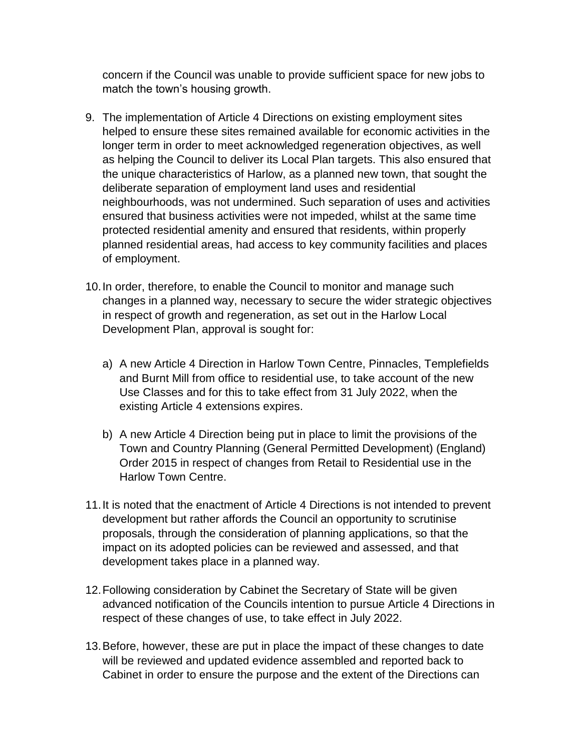concern if the Council was unable to provide sufficient space for new jobs to match the town's housing growth.

- 9. The implementation of Article 4 Directions on existing employment sites helped to ensure these sites remained available for economic activities in the longer term in order to meet acknowledged regeneration objectives, as well as helping the Council to deliver its Local Plan targets. This also ensured that the unique characteristics of Harlow, as a planned new town, that sought the deliberate separation of employment land uses and residential neighbourhoods, was not undermined. Such separation of uses and activities ensured that business activities were not impeded, whilst at the same time protected residential amenity and ensured that residents, within properly planned residential areas, had access to key community facilities and places of employment.
- 10.In order, therefore, to enable the Council to monitor and manage such changes in a planned way, necessary to secure the wider strategic objectives in respect of growth and regeneration, as set out in the Harlow Local Development Plan, approval is sought for:
	- a) A new Article 4 Direction in Harlow Town Centre, Pinnacles, Templefields and Burnt Mill from office to residential use, to take account of the new Use Classes and for this to take effect from 31 July 2022, when the existing Article 4 extensions expires.
	- b) A new Article 4 Direction being put in place to limit the provisions of the Town and Country Planning (General Permitted Development) (England) Order 2015 in respect of changes from Retail to Residential use in the Harlow Town Centre.
- 11.It is noted that the enactment of Article 4 Directions is not intended to prevent development but rather affords the Council an opportunity to scrutinise proposals, through the consideration of planning applications, so that the impact on its adopted policies can be reviewed and assessed, and that development takes place in a planned way.
- 12.Following consideration by Cabinet the Secretary of State will be given advanced notification of the Councils intention to pursue Article 4 Directions in respect of these changes of use, to take effect in July 2022.
- 13.Before, however, these are put in place the impact of these changes to date will be reviewed and updated evidence assembled and reported back to Cabinet in order to ensure the purpose and the extent of the Directions can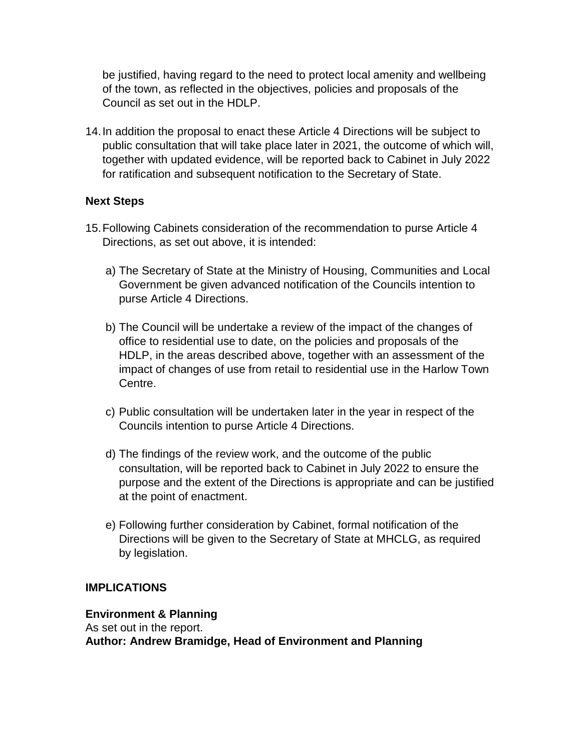be justified, having regard to the need to protect local amenity and wellbeing of the town, as reflected in the objectives, policies and proposals of the Council as set out in the HDLP.

14.In addition the proposal to enact these Article 4 Directions will be subject to public consultation that will take place later in 2021, the outcome of which will, together with updated evidence, will be reported back to Cabinet in July 2022 for ratification and subsequent notification to the Secretary of State.

### **Next Steps**

- 15.Following Cabinets consideration of the recommendation to purse Article 4 Directions, as set out above, it is intended:
	- a) The Secretary of State at the Ministry of Housing, Communities and Local Government be given advanced notification of the Councils intention to purse Article 4 Directions.
	- b) The Council will be undertake a review of the impact of the changes of office to residential use to date, on the policies and proposals of the HDLP, in the areas described above, together with an assessment of the impact of changes of use from retail to residential use in the Harlow Town Centre.
	- c) Public consultation will be undertaken later in the year in respect of the Councils intention to purse Article 4 Directions.
	- d) The findings of the review work, and the outcome of the public consultation, will be reported back to Cabinet in July 2022 to ensure the purpose and the extent of the Directions is appropriate and can be justified at the point of enactment.
	- e) Following further consideration by Cabinet, formal notification of the Directions will be given to the Secretary of State at MHCLG, as required by legislation.

### **IMPLICATIONS**

### **Environment & Planning**

As set out in the report. **Author: Andrew Bramidge, Head of Environment and Planning**